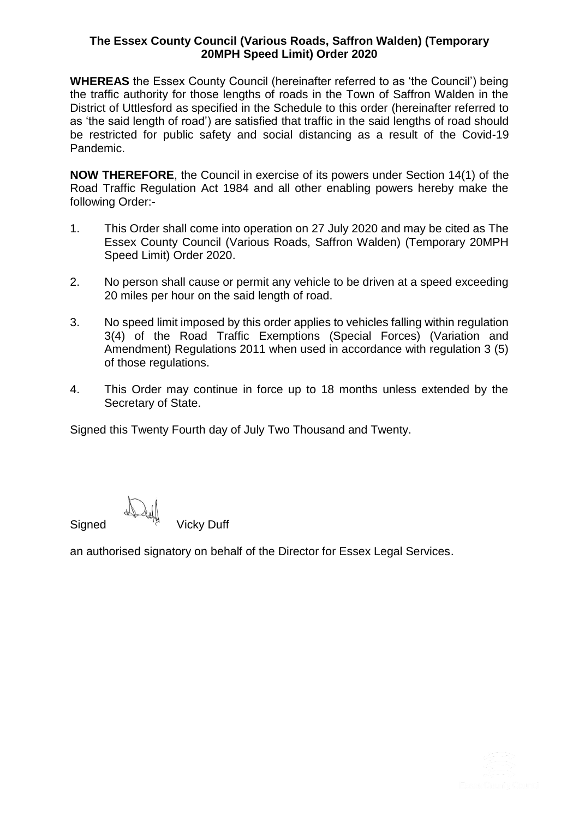## **The Essex County Council (Various Roads, Saffron Walden) (Temporary 20MPH Speed Limit) Order 2020**

**WHEREAS** the Essex County Council (hereinafter referred to as 'the Council') being the traffic authority for those lengths of roads in the Town of Saffron Walden in the District of Uttlesford as specified in the Schedule to this order (hereinafter referred to as 'the said length of road') are satisfied that traffic in the said lengths of road should be restricted for public safety and social distancing as a result of the Covid-19 Pandemic.

**NOW THEREFORE**, the Council in exercise of its powers under Section 14(1) of the Road Traffic Regulation Act 1984 and all other enabling powers hereby make the following Order:-

- 1. This Order shall come into operation on 27 July 2020 and may be cited as The Essex County Council (Various Roads, Saffron Walden) (Temporary 20MPH Speed Limit) Order 2020.
- 2. No person shall cause or permit any vehicle to be driven at a speed exceeding 20 miles per hour on the said length of road.
- 3. No speed limit imposed by this order applies to vehicles falling within regulation 3(4) of the Road Traffic Exemptions (Special Forces) (Variation and Amendment) Regulations 2011 when used in accordance with regulation 3 (5) of those regulations.
- 4. This Order may continue in force up to 18 months unless extended by the Secretary of State.

Signed this Twenty Fourth day of July Two Thousand and Twenty.

Signed Vicky Duff

an authorised signatory on behalf of the Director for Essex Legal Services.